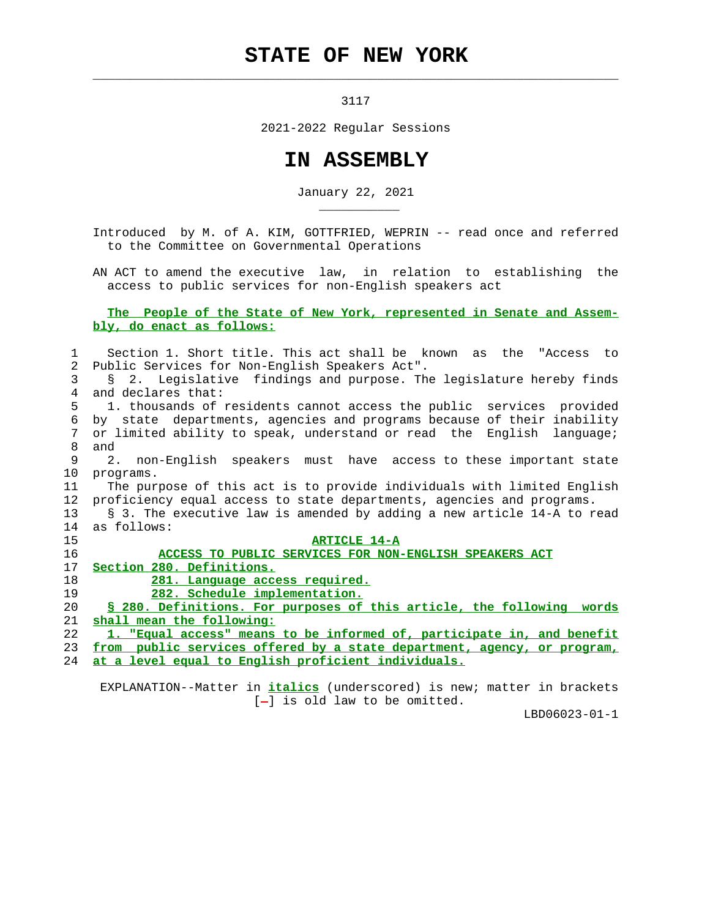## **STATE OF NEW YORK**

 $\mathcal{L}_\text{max} = \frac{1}{2} \sum_{i=1}^{n} \frac{1}{2} \sum_{i=1}^{n} \frac{1}{2} \sum_{i=1}^{n} \frac{1}{2} \sum_{i=1}^{n} \frac{1}{2} \sum_{i=1}^{n} \frac{1}{2} \sum_{i=1}^{n} \frac{1}{2} \sum_{i=1}^{n} \frac{1}{2} \sum_{i=1}^{n} \frac{1}{2} \sum_{i=1}^{n} \frac{1}{2} \sum_{i=1}^{n} \frac{1}{2} \sum_{i=1}^{n} \frac{1}{2} \sum_{i=1}^{n} \frac{1$ 

\_\_\_\_\_\_\_\_\_\_\_

3117

2021-2022 Regular Sessions

## **IN ASSEMBLY**

January 22, 2021

 Introduced by M. of A. KIM, GOTTFRIED, WEPRIN -- read once and referred to the Committee on Governmental Operations

 AN ACT to amend the executive law, in relation to establishing the access to public services for non-English speakers act

## **The People of the State of New York, represented in Senate and Assem bly, do enact as follows:**

| 1              | Section 1. Short title. This act shall be known as the "Access to       |
|----------------|-------------------------------------------------------------------------|
| $\overline{2}$ | Public Services for Non-English Speakers Act".                          |
| 3              | § 2. Legislative findings and purpose. The legislature hereby finds     |
| 4              | and declares that:                                                      |
| 5.             | 1. thousands of residents cannot access the public services provided    |
| 6              | by state departments, agencies and programs because of their inability  |
| 7              | or limited ability to speak, understand or read the English language;   |
| 8              | and                                                                     |
| 9              | 2. non-English speakers must have access to these important state       |
| 10             | programs.                                                               |
| 11             | The purpose of this act is to provide individuals with limited English  |
| 12             | proficiency equal access to state departments, agencies and programs.   |
| 13             | § 3. The executive law is amended by adding a new article 14-A to read  |
| 14             | as follows:                                                             |
| 15             | <b>ARTICLE 14-A</b>                                                     |
| 16             | ACCESS TO PUBLIC SERVICES FOR NON-ENGLISH SPEAKERS ACT                  |
| 17             | Section 280. Definitions.                                               |
| 18             | 281. Language access required.                                          |
| 19             | 282. Schedule implementation.                                           |
| 20             | \$ 280. Definitions. For purposes of this article, the following words  |
| 21             | shall mean the following:                                               |
| 22             | 1. "Equal access" means to be informed of, participate in, and benefit  |
| 23             | from public services offered by a state department, agency, or program, |
| 24             | <u>at a level equal to English proficient individuals.</u>              |
|                |                                                                         |

 EXPLANATION--Matter in **italics** (underscored) is new; matter in brackets  $[-]$  is old law to be omitted.

LBD06023-01-1